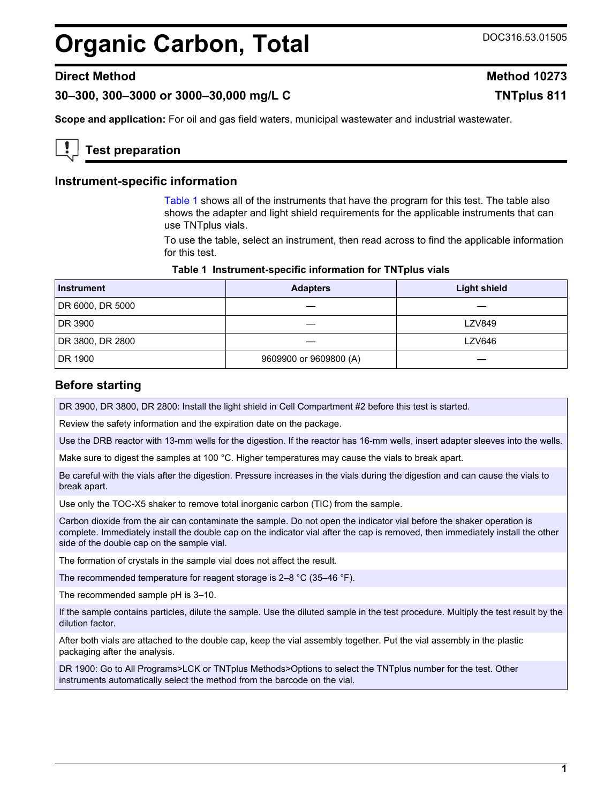# <span id="page-0-0"></span>**Organic Carbon, Total** DOC316.53.01505

# **Direct Method Method 10273**

**30–300, 300–3000 or 3000–30,000 mg/L C TNTplus 811**

**Scope and application:** For oil and gas field waters, municipal wastewater and industrial wastewater.

# **Test preparation**

## **Instrument-specific information**

Table 1 shows all of the instruments that have the program for this test. The table also shows the adapter and light shield requirements for the applicable instruments that can use TNTplus vials.

To use the table, select an instrument, then read across to find the applicable information for this test.

#### **Table 1 Instrument-specific information for TNTplus vials**

| <b>Instrument</b> | <b>Adapters</b>        | <b>Light shield</b> |
|-------------------|------------------------|---------------------|
| DR 6000, DR 5000  |                        |                     |
| DR 3900           |                        | <b>LZV849</b>       |
| DR 3800, DR 2800  |                        | <b>LZV646</b>       |
| DR 1900           | 9609900 or 9609800 (A) |                     |

## **Before starting**

DR 3900, DR 3800, DR 2800: Install the light shield in Cell Compartment #2 before this test is started.

Review the safety information and the expiration date on the package.

Use the DRB reactor with 13-mm wells for the digestion. If the reactor has 16-mm wells, insert adapter sleeves into the wells.

Make sure to digest the samples at 100 °C. Higher temperatures may cause the vials to break apart.

Be careful with the vials after the digestion. Pressure increases in the vials during the digestion and can cause the vials to break apart.

Use only the TOC-X5 shaker to remove total inorganic carbon (TIC) from the sample.

Carbon dioxide from the air can contaminate the sample. Do not open the indicator vial before the shaker operation is complete. Immediately install the double cap on the indicator vial after the cap is removed, then immediately install the other side of the double cap on the sample vial.

The formation of crystals in the sample vial does not affect the result.

The recommended temperature for reagent storage is 2–8 °C (35–46 °F).

The recommended sample pH is 3–10.

If the sample contains particles, dilute the sample. Use the diluted sample in the test procedure. Multiply the test result by the dilution factor.

After both vials are attached to the double cap, keep the vial assembly together. Put the vial assembly in the plastic packaging after the analysis.

DR 1900: Go to All Programs>LCK or TNTplus Methods>Options to select the TNTplus number for the test. Other instruments automatically select the method from the barcode on the vial.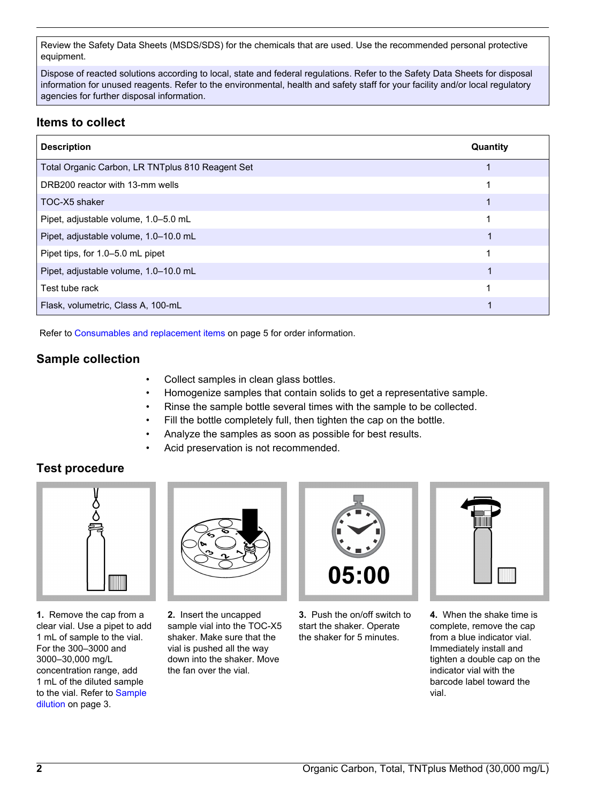Review the Safety Data Sheets (MSDS/SDS) for the chemicals that are used. Use the recommended personal protective equipment.

Dispose of reacted solutions according to local, state and federal regulations. Refer to the Safety Data Sheets for disposal information for unused reagents. Refer to the environmental, health and safety staff for your facility and/or local regulatory agencies for further disposal information.

# **Items to collect**

| <b>Description</b>                               | Quantity |
|--------------------------------------------------|----------|
| Total Organic Carbon, LR TNTplus 810 Reagent Set |          |
| DRB200 reactor with 13-mm wells                  |          |
| TOC-X5 shaker                                    |          |
| Pipet, adjustable volume, 1.0-5.0 mL             |          |
| Pipet, adjustable volume, 1.0-10.0 mL            |          |
| Pipet tips, for 1.0–5.0 mL pipet                 |          |
| Pipet, adjustable volume, 1.0-10.0 mL            |          |
| Test tube rack                                   |          |
| Flask, volumetric, Class A, 100-mL               |          |

Refer to [Consumables and replacement items](#page-4-0) on page 5 for order information.

# **Sample collection**

- Collect samples in clean glass bottles.
- Homogenize samples that contain solids to get a representative sample.
- Rinse the sample bottle several times with the sample to be collected.
- Fill the bottle completely full, then tighten the cap on the bottle.
- Analyze the samples as soon as possible for best results.
- Acid preservation is not recommended.

# **Test procedure**



**1.** Remove the cap from a clear vial. Use a pipet to add 1 mL of sample to the vial. For the 300–3000 and 3000–30,000 mg/L concentration range, add 1 mL of the diluted sample to the vial. Refer to [Sample](#page-2-0) [dilution](#page-2-0) on page 3.



**2.** Insert the uncapped sample vial into the TOC-X5 shaker. Make sure that the vial is pushed all the way down into the shaker. Move the fan over the vial.



**3.** Push the on/off switch to start the shaker. Operate the shaker for 5 minutes.



**4.** When the shake time is complete, remove the cap from a blue indicator vial. Immediately install and tighten a double cap on the indicator vial with the barcode label toward the vial.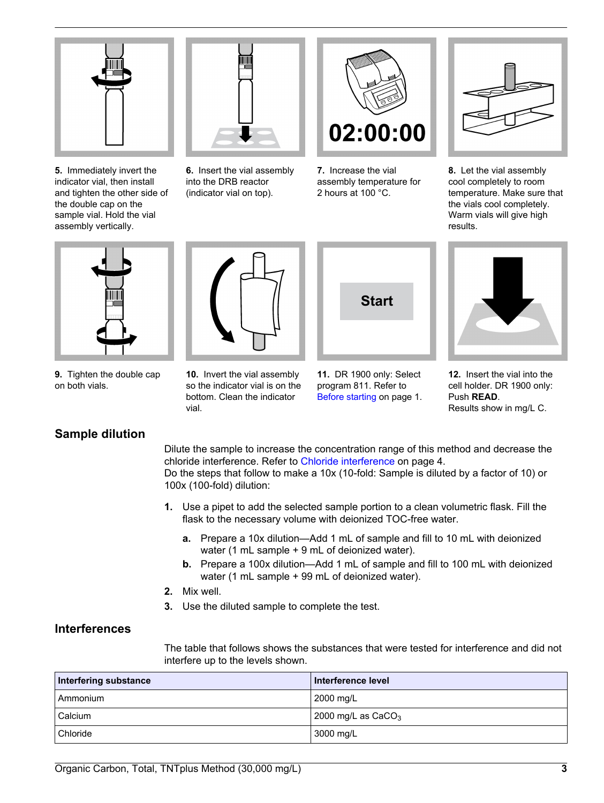<span id="page-2-0"></span>

**5.** Immediately invert the indicator vial, then install and tighten the other side of the double cap on the sample vial. Hold the vial assembly vertically.



**6.** Insert the vial assembly into the DRB reactor (indicator vial on top).



**7.** Increase the vial assembly temperature for 2 hours at 100 °C.



**8.** Let the vial assembly cool completely to room temperature. Make sure that the vials cool completely. Warm vials will give high results.



**9.** Tighten the double cap on both vials.

# **10.** Invert the vial assembly so the indicator vial is on the bottom. Clean the indicator



**11.** DR 1900 only: Select program 811. Refer to [Before starting](#page-0-0) on page 1.



**12.** Insert the vial into the cell holder. DR 1900 only: Push **READ**. Results show in mg/L C.

# **Sample dilution**

Dilute the sample to increase the concentration range of this method and decrease the chloride interference. Refer to [Chloride interference](#page-3-0) on page 4. Do the steps that follow to make a 10x (10-fold: Sample is diluted by a factor of 10) or 100x (100-fold) dilution:

- **1.** Use a pipet to add the selected sample portion to a clean volumetric flask. Fill the flask to the necessary volume with deionized TOC-free water.
	- **a.** Prepare a 10x dilution—Add 1 mL of sample and fill to 10 mL with deionized water (1 mL sample + 9 mL of deionized water).
	- **b.** Prepare a 100x dilution—Add 1 mL of sample and fill to 100 mL with deionized water (1 mL sample + 99 mL of deionized water).
- **2.** Mix well.

vial.

**3.** Use the diluted sample to complete the test.

# **Interferences**

The table that follows shows the substances that were tested for interference and did not interfere up to the levels shown.

| Interfering substance | Interference level   |
|-----------------------|----------------------|
| Ammonium              | 2000 mg/L            |
| Calcium               | 2000 mg/L as $CaCO3$ |
| Chloride              | 3000 mg/L            |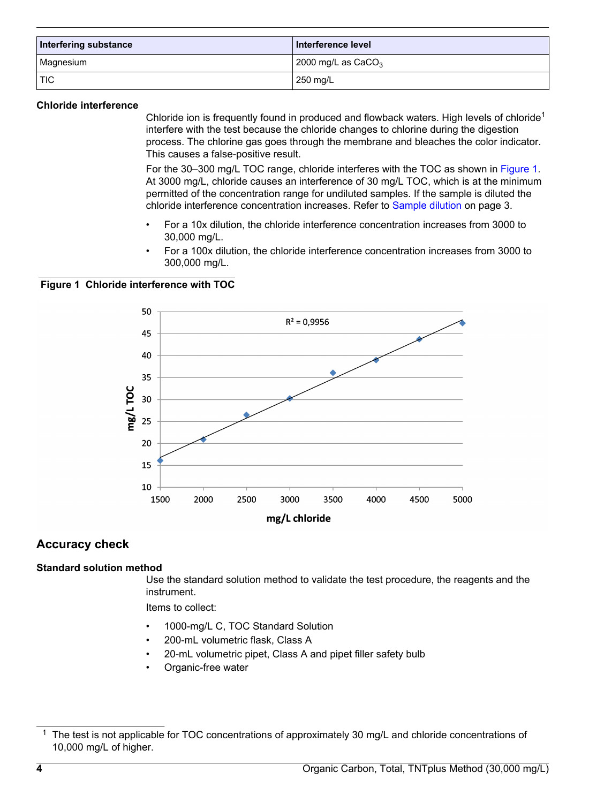<span id="page-3-0"></span>

| Interfering substance | Interference level   |
|-----------------------|----------------------|
| Magnesium             | 2000 mg/L as $CaCO3$ |
| ! TIC                 | 250 mg/L             |

#### **Chloride interference**

Chloride ion is frequently found in produced and flowback waters. High levels of chloride<sup>1</sup> interfere with the test because the chloride changes to chlorine during the digestion process. The chlorine gas goes through the membrane and bleaches the color indicator. This causes a false-positive result.

For the 30–300 mg/L TOC range, chloride interferes with the TOC as shown in Figure 1. At 3000 mg/L, chloride causes an interference of 30 mg/L TOC, which is at the minimum permitted of the concentration range for undiluted samples. If the sample is diluted the chloride interference concentration increases. Refer to [Sample dilution](#page-2-0) on page 3.

- For a 10x dilution, the chloride interference concentration increases from 3000 to 30,000 mg/L.
- For a 100x dilution, the chloride interference concentration increases from 3000 to 300,000 mg/L.

**Figure 1 Chloride interference with TOC**



# **Accuracy check**

#### **Standard solution method**

Use the standard solution method to validate the test procedure, the reagents and the instrument.

Items to collect:

- 1000-mg/L C, TOC Standard Solution
- 200-mL volumetric flask, Class A
- 20-mL volumetric pipet, Class A and pipet filler safety bulb
- Organic-free water

<sup>&</sup>lt;sup>1</sup> The test is not applicable for TOC concentrations of approximately 30 mg/L and chloride concentrations of 10,000 mg/L of higher.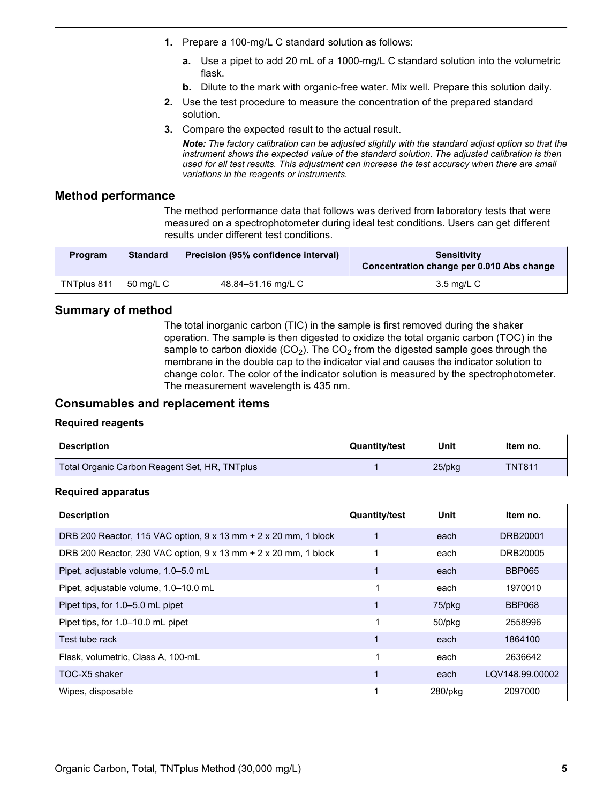- <span id="page-4-0"></span>**1.** Prepare a 100-mg/L C standard solution as follows:
	- **a.** Use a pipet to add 20 mL of a 1000-mg/L C standard solution into the volumetric flask.
	- **b.** Dilute to the mark with organic-free water. Mix well. Prepare this solution daily.
- **2.** Use the test procedure to measure the concentration of the prepared standard solution.
- **3.** Compare the expected result to the actual result.

*Note: The factory calibration can be adjusted slightly with the standard adjust option so that the instrument shows the expected value of the standard solution. The adjusted calibration is then used for all test results. This adjustment can increase the test accuracy when there are small variations in the reagents or instruments.*

# **Method performance**

The method performance data that follows was derived from laboratory tests that were measured on a spectrophotometer during ideal test conditions. Users can get different results under different test conditions.

| <b>Program</b> | <b>Standard</b> | Precision (95% confidence interval) | <b>Sensitivity</b><br>Concentration change per 0.010 Abs change |
|----------------|-----------------|-------------------------------------|-----------------------------------------------------------------|
| TNTplus 811    | 50 ma/L C 1     | 48.84–51.16 ma/L C                  | 3.5 ma/L C                                                      |

# **Summary of method**

The total inorganic carbon (TIC) in the sample is first removed during the shaker operation. The sample is then digested to oxidize the total organic carbon (TOC) in the sample to carbon dioxide  $(CO<sub>2</sub>)$ . The  $CO<sub>2</sub>$  from the digested sample goes through the membrane in the double cap to the indicator vial and causes the indicator solution to change color. The color of the indicator solution is measured by the spectrophotometer. The measurement wavelength is 435 nm.

# **Consumables and replacement items**

#### **Required reagents**

| <b>Description</b>                            | Quantity/test | Unit   | Item no.      |
|-----------------------------------------------|---------------|--------|---------------|
| Total Organic Carbon Reagent Set, HR, TNTplus |               | 25/pkg | <b>TNT811</b> |

#### **Required apparatus**

| <b>Description</b>                                                            | <b>Quantity/test</b> | Unit    | Item no.        |
|-------------------------------------------------------------------------------|----------------------|---------|-----------------|
| DRB 200 Reactor, 115 VAC option, 9 x 13 mm + 2 x 20 mm, 1 block               |                      | each    | DRB20001        |
| DRB 200 Reactor, 230 VAC option, $9 \times 13$ mm + 2 $\times$ 20 mm, 1 block |                      | each    | DRB20005        |
| Pipet, adjustable volume, 1.0-5.0 mL                                          |                      | each    | <b>BBP065</b>   |
| Pipet, adjustable volume, 1.0-10.0 mL                                         |                      | each    | 1970010         |
| Pipet tips, for 1.0–5.0 mL pipet                                              |                      | 75/pkg  | <b>BBP068</b>   |
| Pipet tips, for 1.0-10.0 mL pipet                                             |                      | 50/pkg  | 2558996         |
| Test tube rack                                                                |                      | each    | 1864100         |
| Flask, volumetric, Class A, 100-mL                                            |                      | each    | 2636642         |
| TOC-X5 shaker                                                                 |                      | each    | LQV148.99.00002 |
| Wipes, disposable                                                             |                      | 280/pkg | 2097000         |